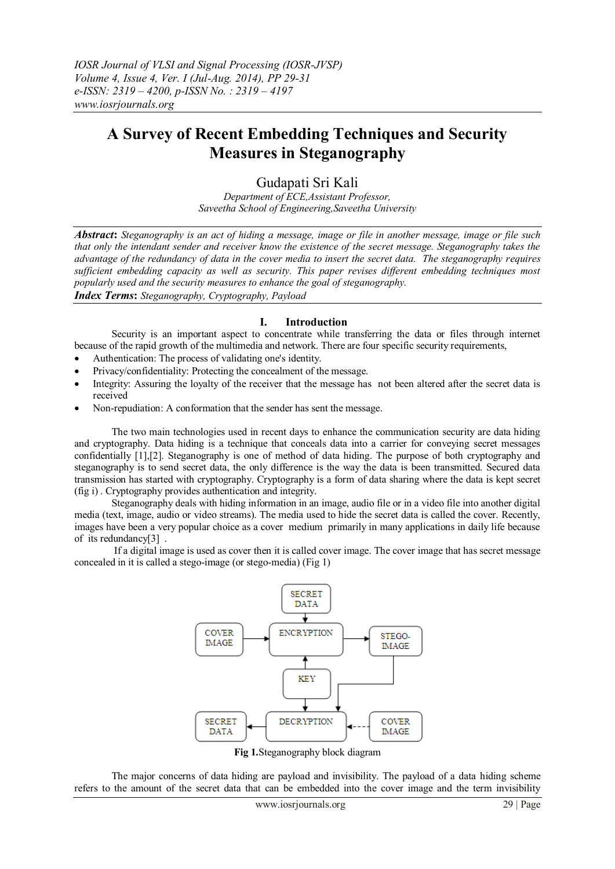# **A Survey of Recent Embedding Techniques and Security Measures in Steganography**

## Gudapati Sri Kali

*Department of ECE,Assistant Professor, Saveetha School of Engineering,Saveetha University*

*Abstract***:** *Steganography is an act of hiding a message, image or file in another message, image or file such that only the intendant sender and receiver know the existence of the secret message. Steganography takes the advantage of the redundancy of data in the cover media to insert the secret data. The steganography requires sufficient embedding capacity as well as security. This paper revises different embedding techniques most popularly used and the security measures to enhance the goal of steganography. Index Terms***:** *Steganography, Cryptography, Payload*

#### **I. Introduction**

Security is an important aspect to concentrate while transferring the data or files through internet because of the rapid growth of the multimedia and network. There are four specific security requirements,

- Authentication: The process of validating one's identity.
- Privacy/confidentiality: Protecting the concealment of the message.
- Integrity: Assuring the loyalty of the receiver that the message has not been altered after the secret data is received
- Non-repudiation: A conformation that the sender has sent the message.

The two main technologies used in recent days to enhance the communication security are data hiding and cryptography. Data hiding is a technique that conceals data into a carrier for conveying secret messages confidentially [1],[2]. Steganography is one of method of data hiding. The purpose of both cryptography and steganography is to send secret data, the only difference is the way the data is been transmitted. Secured data transmission has started with cryptography. Cryptography is a form of data sharing where the data is kept secret (fig i) . Cryptography provides authentication and integrity.

Steganography deals with hiding information in an image, audio file or in a video file into another digital media (text, image, audio or video streams). The media used to hide the secret data is called the cover. Recently, images have been a very popular choice as a cover medium primarily in many applications in daily life because of its redundancy[3] .

If a digital image is used as cover then it is called cover image. The cover image that has secret message concealed in it is called a stego-image (or stego-media) (Fig 1)



**Fig 1.**Steganography block diagram

The major concerns of data hiding are payload and invisibility. The payload of a data hiding scheme refers to the amount of the secret data that can be embedded into the cover image and the term invisibility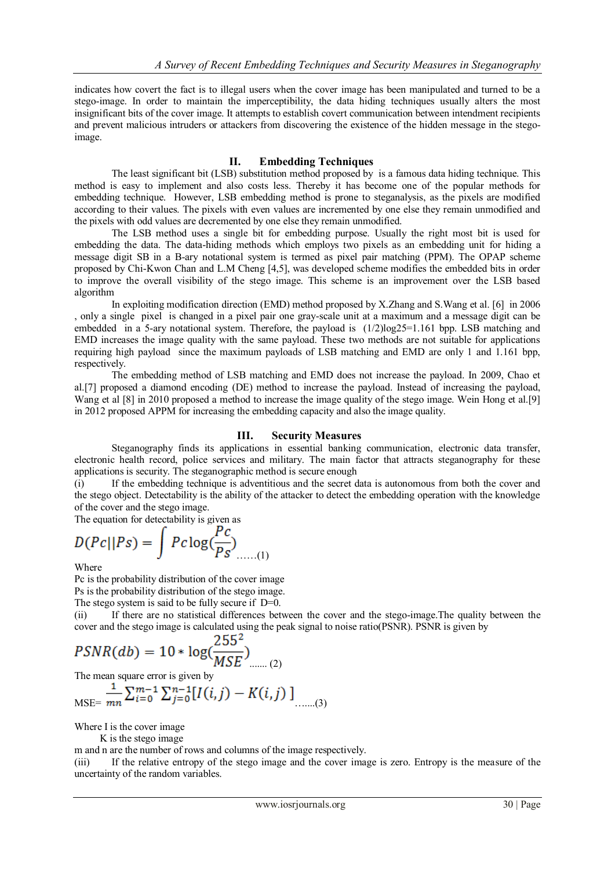indicates how covert the fact is to illegal users when the cover image has been manipulated and turned to be a stego-image. In order to maintain the imperceptibility, the data hiding techniques usually alters the most insignificant bits of the cover image. It attempts to establish covert communication between intendment recipients and prevent malicious intruders or attackers from discovering the existence of the hidden message in the stegoimage.

#### **II. Embedding Techniques**

The least significant bit (LSB) substitution method proposed by is a famous data hiding technique. This method is easy to implement and also costs less. Thereby it has become one of the popular methods for embedding technique. However, LSB embedding method is prone to steganalysis, as the pixels are modified according to their values. The pixels with even values are incremented by one else they remain unmodified and the pixels with odd values are decremented by one else they remain unmodified.

The LSB method uses a single bit for embedding purpose. Usually the right most bit is used for embedding the data. The data-hiding methods which employs two pixels as an embedding unit for hiding a message digit SB in a B-ary notational system is termed as pixel pair matching (PPM). The OPAP scheme proposed by Chi-Kwon Chan and L.M Cheng [4,5], was developed scheme modifies the embedded bits in order to improve the overall visibility of the stego image. This scheme is an improvement over the LSB based algorithm

In exploiting modification direction (EMD) method proposed by X.Zhang and S.Wang et al. [6] in 2006 , only a single pixel is changed in a pixel pair one gray-scale unit at a maximum and a message digit can be embedded in a 5-ary notational system. Therefore, the payload is  $(1/2)$ log25=1.161 bpp. LSB matching and EMD increases the image quality with the same payload. These two methods are not suitable for applications requiring high payload since the maximum payloads of LSB matching and EMD are only 1 and 1.161 bpp, respectively.

The embedding method of LSB matching and EMD does not increase the payload. In 2009, Chao et al.[7] proposed a diamond encoding (DE) method to increase the payload. Instead of increasing the payload, Wang et al [8] in 2010 proposed a method to increase the image quality of the stego image. Wein Hong et al.[9] in 2012 proposed APPM for increasing the embedding capacity and also the image quality.

### **III. Security Measures**

Steganography finds its applications in essential banking communication, electronic data transfer, electronic health record, police services and military. The main factor that attracts steganography for these applications is security. The steganographic method is secure enough

(i) If the embedding technique is adventitious and the secret data is autonomous from both the cover and the stego object. Detectability is the ability of the attacker to detect the embedding operation with the knowledge of the cover and the stego image.

The equation for detectability is given as

$$
D(Pc||Ps) = \int Pc \log(\frac{Pc}{Ps}) \dots (1)
$$

Where

Pc is the probability distribution of the cover image

Ps is the probability distribution of the stego image.

The stego system is said to be fully secure if  $D=0$ .

(ii) If there are no statistical differences between the cover and the stego-image.The quality between the cover and the stego image is calculated using the peak signal to noise ratio(PSNR). PSNR is given by

$$
PSNR(db) = 10 * \log(\frac{255^{2}}{MSE})
$$
 (2)

The mean square error is given by

$$
MSE = \frac{1}{mn} \sum_{i=0}^{m-1} \sum_{j=0}^{n-1} [I(i,j) - K(i,j)] \quad (3)
$$

Where I is the cover image

K is the stego image

m and n are the number of rows and columns of the image respectively.

(iii) If the relative entropy of the stego image and the cover image is zero. Entropy is the measure of the uncertainty of the random variables.